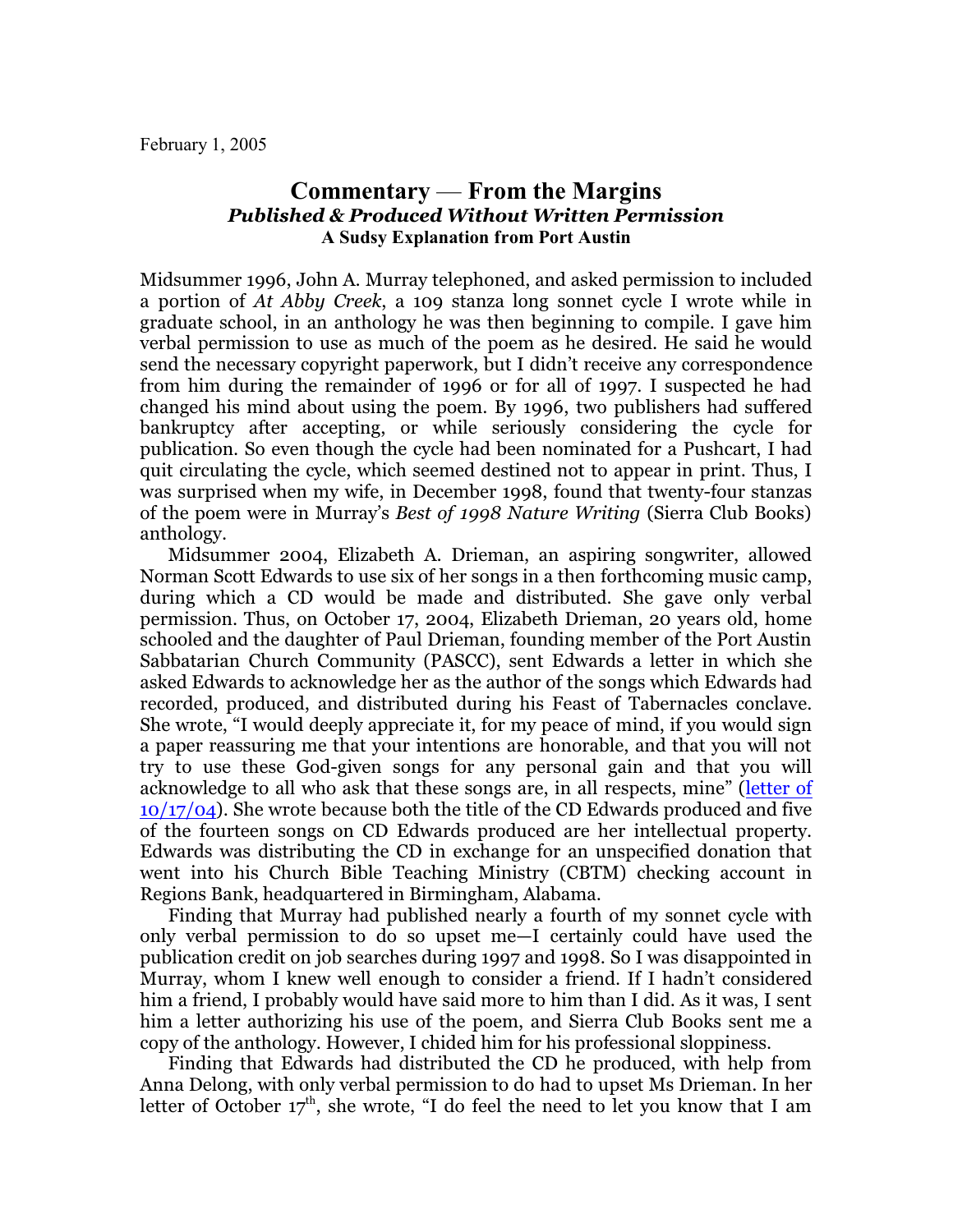February 1, 2005

## **Commentary** — **From the Margins** *Published & Produced Without Written Permission* **A Sudsy Explanation from Port Austin**

Midsummer 1996, John A. Murray telephoned, and asked permission to included a portion of *At Abby Creek*, a 109 stanza long sonnet cycle I wrote while in graduate school, in an anthology he was then beginning to compile. I gave him verbal permission to use as much of the poem as he desired. He said he would send the necessary copyright paperwork, but I didn't receive any correspondence from him during the remainder of 1996 or for all of 1997. I suspected he had changed his mind about using the poem. By 1996, two publishers had suffered bankruptcy after accepting, or while seriously considering the cycle for publication. So even though the cycle had been nominated for a Pushcart, I had quit circulating the cycle, which seemed destined not to appear in print. Thus, I was surprised when my wife, in December 1998, found that twenty-four stanzas of the poem were in Murray's *Best of 1998 Nature Writing* (Sierra Club Books) anthology.

Midsummer 2004, Elizabeth A. Drieman, an aspiring songwriter, allowed Norman Scott Edwards to use six of her songs in a then forthcoming music camp, during which a CD would be made and distributed. She gave only verbal permission. Thus, on October 17, 2004, Elizabeth Drieman, 20 years old, home schooled and the daughter of Paul Drieman, founding member of the Port Austin Sabbatarian Church Community (PASCC), sent Edwards a letter in which she asked Edwards to acknowledge her as the author of the songs which Edwards had recorded, produced, and distributed during his Feast of Tabernacles conclave. She wrote, "I would deeply appreciate it, for my peace of mind, if you would sign a paper reassuring me that your intentions are honorable, and that you will not try to use these God-given songs for any personal gain and that you will acknowledge to all who ask that these songs are, in all respects, mine" ([letter of](file:///|//EAD%20ltr%20to%20Norm%2010-17-04.pdf) [10/17/04](file:///|//EAD%20ltr%20to%20Norm%2010-17-04.pdf)). She wrote because both the title of the CD Edwards produced and five of the fourteen songs on CD Edwards produced are her intellectual property. Edwards was distributing the CD in exchange for an unspecified donation that went into his Church Bible Teaching Ministry (CBTM) checking account in Regions Bank, headquartered in Birmingham, Alabama.

Finding that Murray had published nearly a fourth of my sonnet cycle with only verbal permission to do so upset me—I certainly could have used the publication credit on job searches during 1997 and 1998. So I was disappointed in Murray, whom I knew well enough to consider a friend. If I hadn't considered him a friend, I probably would have said more to him than I did. As it was, I sent him a letter authorizing his use of the poem, and Sierra Club Books sent me a copy of the anthology. However, I chided him for his professional sloppiness.

Finding that Edwards had distributed the CD he produced, with help from Anna Delong, with only verbal permission to do had to upset Ms Drieman. In her letter of October 17<sup>th</sup>, she wrote, "I do feel the need to let you know that I am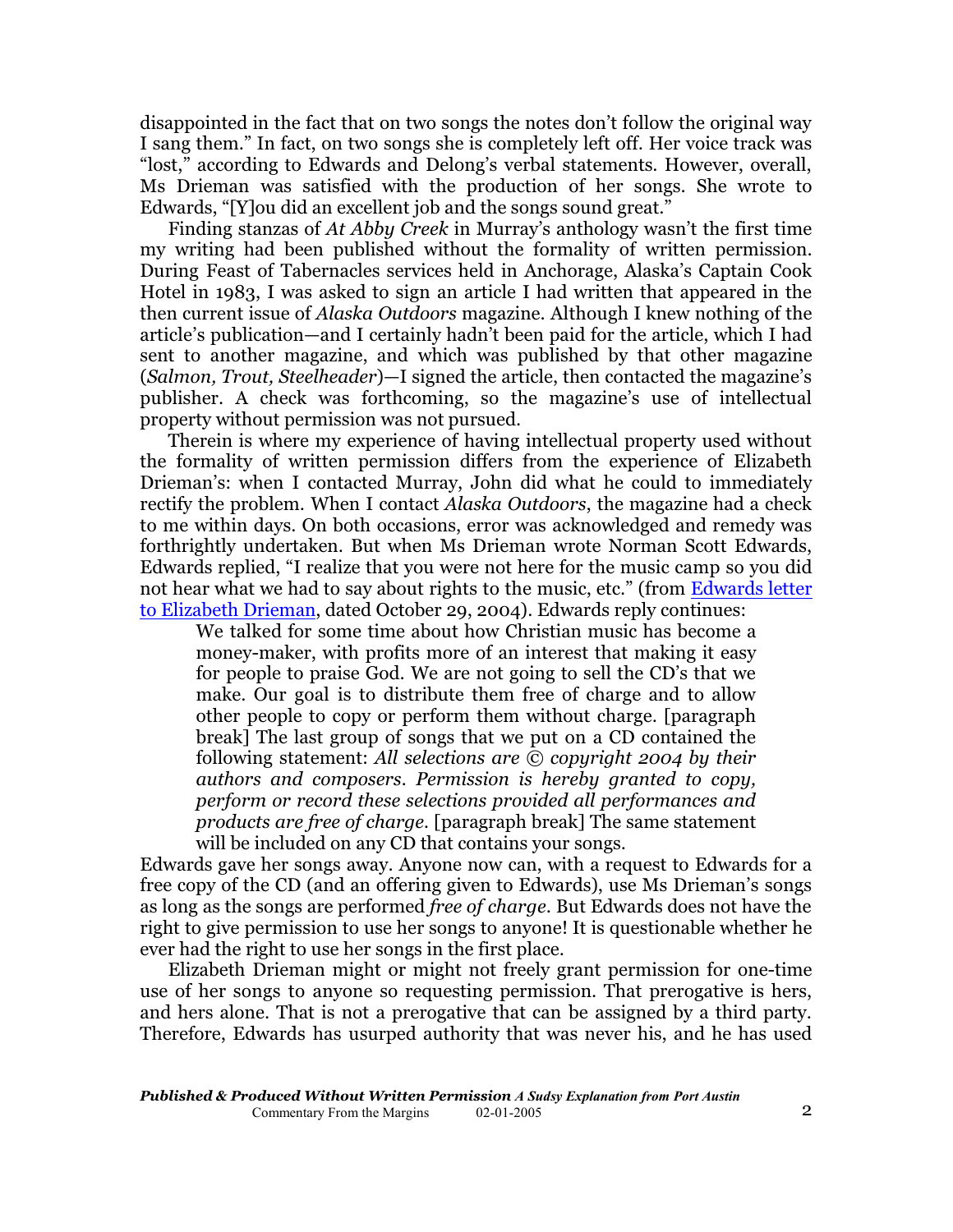disappointed in the fact that on two songs the notes don't follow the original way I sang them." In fact, on two songs she is completely left off. Her voice track was "lost," according to Edwards and Delong's verbal statements. However, overall, Ms Drieman was satisfied with the production of her songs. She wrote to Edwards, "[Y]ou did an excellent job and the songs sound great."

Finding stanzas of *At Abby Creek* in Murray's anthology wasn't the first time my writing had been published without the formality of written permission. During Feast of Tabernacles services held in Anchorage, Alaska's Captain Cook Hotel in 1983, I was asked to sign an article I had written that appeared in the then current issue of *Alaska Outdoors* magazine. Although I knew nothing of the article's publication—and I certainly hadn't been paid for the article, which I had sent to another magazine, and which was published by that other magazine (*Salmon, Trout, Steelheader*)—I signed the article, then contacted the magazine's publisher. A check was forthcoming, so the magazine's use of intellectual property without permission was not pursued.

Therein is where my experience of having intellectual property used without the formality of written permission differs from the experience of Elizabeth Drieman's: when I contacted Murray, John did what he could to immediately rectify the problem. When I contact *Alaska Outdoors*, the magazine had a check to me within days. On both occasions, error was acknowledged and remedy was forthrightly undertaken. But when Ms Drieman wrote Norman Scott Edwards, Edwards replied, "I realize that you were not here for the music camp so you did not hear what we had to say about rights to the music, etc." (from [Edwards letter](file:///|//norm%20ltr%20to%20EAD%2010-29-04.pdf) [to Elizabeth Drieman](file:///|//norm%20ltr%20to%20EAD%2010-29-04.pdf), dated October 29, 2004). Edwards reply continues:

We talked for some time about how Christian music has become a money-maker, with profits more of an interest that making it easy for people to praise God. We are not going to sell the CD's that we make. Our goal is to distribute them free of charge and to allow other people to copy or perform them without charge. [paragraph break] The last group of songs that we put on a CD contained the following statement: *All selections are © copyright 2004 by their authors and composers. Permission is hereby granted to copy, perform or record these selections provided all performances and products are free of charge.* [paragraph break] The same statement will be included on any CD that contains your songs.

Edwards gave her songs away. Anyone now can, with a request to Edwards for a free copy of the CD (and an offering given to Edwards), use Ms Drieman's songs as long as the songs are performed *free of charge*. But Edwards does not have the right to give permission to use her songs to anyone! It is questionable whether he ever had the right to use her songs in the first place.

Elizabeth Drieman might or might not freely grant permission for one-time use of her songs to anyone so requesting permission. That prerogative is hers, and hers alone. That is not a prerogative that can be assigned by a third party. Therefore, Edwards has usurped authority that was never his, and he has used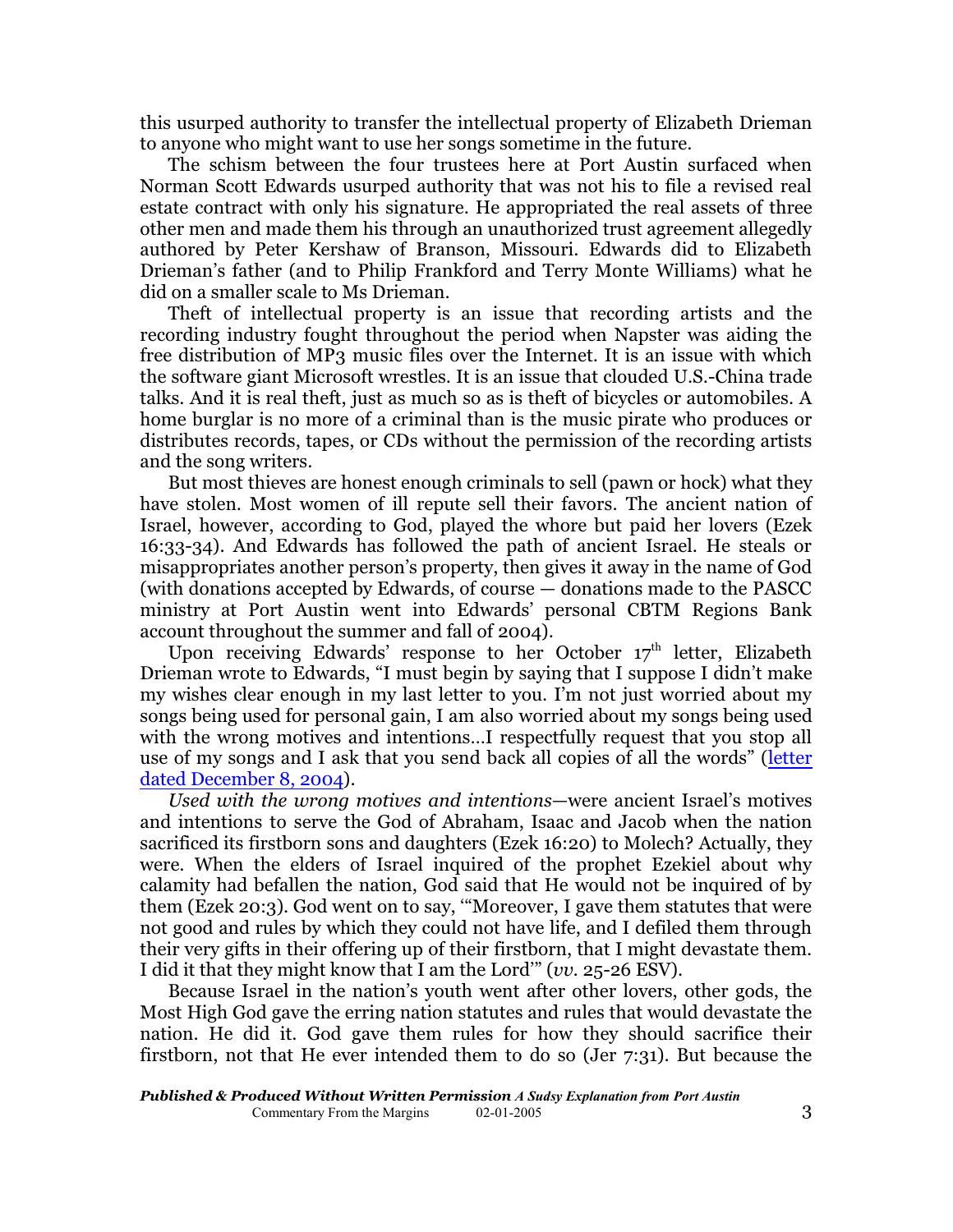this usurped authority to transfer the intellectual property of Elizabeth Drieman to anyone who might want to use her songs sometime in the future.

The schism between the four trustees here at Port Austin surfaced when Norman Scott Edwards usurped authority that was not his to file a revised real estate contract with only his signature. He appropriated the real assets of three other men and made them his through an unauthorized trust agreement allegedly authored by Peter Kershaw of Branson, Missouri. Edwards did to Elizabeth Drieman's father (and to Philip Frankford and Terry Monte Williams) what he did on a smaller scale to Ms Drieman.

Theft of intellectual property is an issue that recording artists and the recording industry fought throughout the period when Napster was aiding the free distribution of MP3 music files over the Internet. It is an issue with which the software giant Microsoft wrestles. It is an issue that clouded U.S.-China trade talks. And it is real theft, just as much so as is theft of bicycles or automobiles. A home burglar is no more of a criminal than is the music pirate who produces or distributes records, tapes, or CDs without the permission of the recording artists and the song writers.

But most thieves are honest enough criminals to sell (pawn or hock) what they have stolen. Most women of ill repute sell their favors. The ancient nation of Israel, however, according to God, played the whore but paid her lovers (Ezek 16:33-34). And Edwards has followed the path of ancient Israel. He steals or misappropriates another person's property, then gives it away in the name of God (with donations accepted by Edwards, of course — donations made to the PASCC ministry at Port Austin went into Edwards' personal CBTM Regions Bank account throughout the summer and fall of 2004).

Upon receiving Edwards' response to her October 17<sup>th</sup> letter, Elizabeth Drieman wrote to Edwards, "I must begin by saying that I suppose I didn't make my wishes clear enough in my last letter to you. I'm not just worried about my songs being used for personal gain, I am also worried about my songs being used with the wrong motives and intentions...I respectfully request that you stop all use of my songs and I ask that you send back all copies of all the words" [\(letter](file:///|//EAD%202nd%20ltr%20to%20Norm%2012-08-04.pdf) [dated December 8, 2004](file:///|//EAD%202nd%20ltr%20to%20Norm%2012-08-04.pdf)).

*Used with the wrong motives and intentions*—were ancient Israel's motives and intentions to serve the God of Abraham, Isaac and Jacob when the nation sacrificed its firstborn sons and daughters (Ezek 16:20) to Molech? Actually, they were. When the elders of Israel inquired of the prophet Ezekiel about why calamity had befallen the nation, God said that He would not be inquired of by them (Ezek 20:3). God went on to say, '"Moreover, I gave them statutes that were not good and rules by which they could not have life, and I defiled them through their very gifts in their offering up of their firstborn, that I might devastate them. I did it that they might know that I am the Lord'" (*vv.* 25-26 ESV).

Because Israel in the nation's youth went after other lovers, other gods, the Most High God gave the erring nation statutes and rules that would devastate the nation. He did it. God gave them rules for how they should sacrifice their firstborn, not that He ever intended them to do so (Jer 7:31). But because the